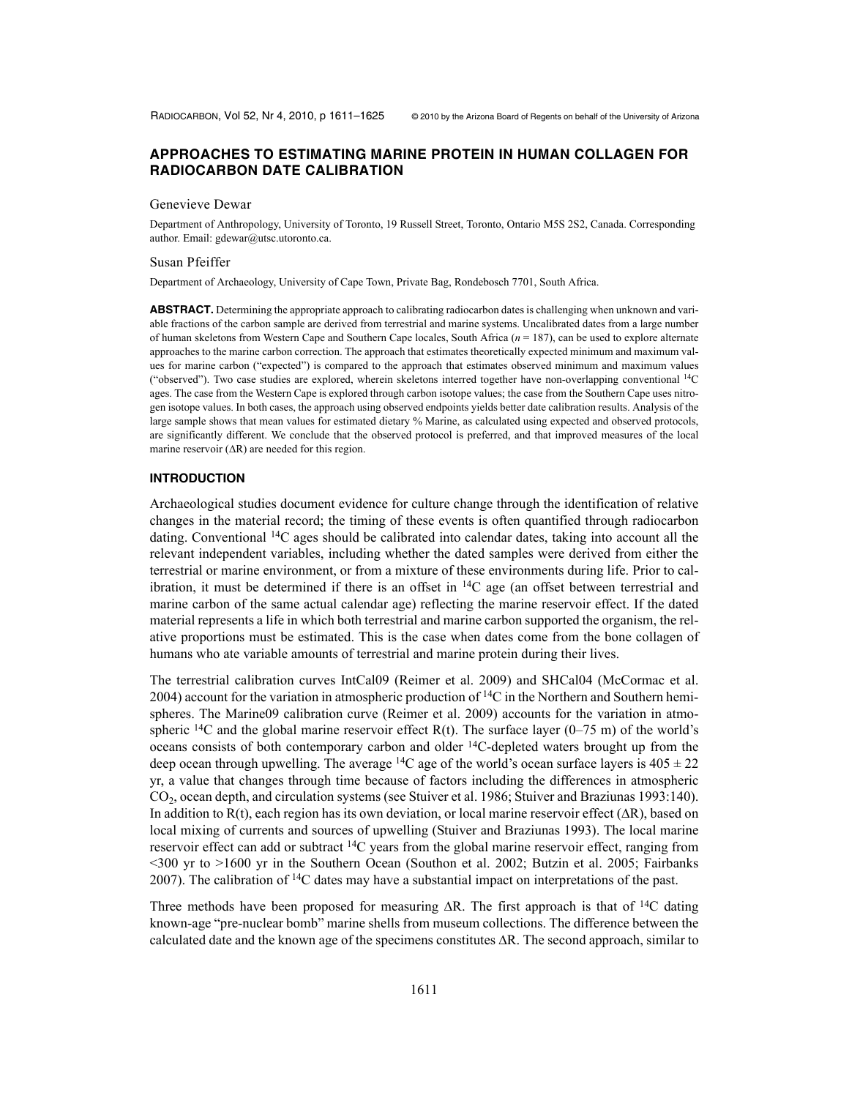# **APPROACHES TO ESTIMATING MARINE PROTEIN IN HUMAN COLLAGEN FOR RADIOCARBON DATE CALIBRATION**

#### Genevieve Dewar

Department of Anthropology, University of Toronto, 19 Russell Street, Toronto, Ontario M5S 2S2, Canada. Corresponding author. Email: gdewar@utsc.utoronto.ca.

#### Susan Pfeiffer

Department of Archaeology, University of Cape Town, Private Bag, Rondebosch 7701, South Africa.

**ABSTRACT.** Determining the appropriate approach to calibrating radiocarbon dates is challenging when unknown and variable fractions of the carbon sample are derived from terrestrial and marine systems. Uncalibrated dates from a large number of human skeletons from Western Cape and Southern Cape locales, South Africa (*n* = 187), can be used to explore alternate approaches to the marine carbon correction. The approach that estimates theoretically expected minimum and maximum values for marine carbon ("expected") is compared to the approach that estimates observed minimum and maximum values ("observed"). Two case studies are explored, wherein skeletons interred together have non-overlapping conventional 14C ages. The case from the Western Cape is explored through carbon isotope values; the case from the Southern Cape uses nitrogen isotope values. In both cases, the approach using observed endpoints yields better date calibration results. Analysis of the large sample shows that mean values for estimated dietary % Marine, as calculated using expected and observed protocols, are significantly different. We conclude that the observed protocol is preferred, and that improved measures of the local marine reservoir  $( \Delta R)$  are needed for this region.

#### **INTRODUCTION**

Archaeological studies document evidence for culture change through the identification of relative changes in the material record; the timing of these events is often quantified through radiocarbon dating. Conventional 14C ages should be calibrated into calendar dates, taking into account all the relevant independent variables, including whether the dated samples were derived from either the terrestrial or marine environment, or from a mixture of these environments during life. Prior to calibration, it must be determined if there is an offset in  $^{14}C$  age (an offset between terrestrial and marine carbon of the same actual calendar age) reflecting the marine reservoir effect. If the dated material represents a life in which both terrestrial and marine carbon supported the organism, the relative proportions must be estimated. This is the case when dates come from the bone collagen of humans who ate variable amounts of terrestrial and marine protein during their lives.

The terrestrial calibration curves IntCal09 (Reimer et al. 2009) and SHCal04 (McCormac et al. 2004) account for the variation in atmospheric production of  ${}^{14}C$  in the Northern and Southern hemispheres. The Marine09 calibration curve (Reimer et al. 2009) accounts for the variation in atmospheric  $^{14}C$  and the global marine reservoir effect R(t). The surface layer (0–75 m) of the world's oceans consists of both contemporary carbon and older 14C-depleted waters brought up from the deep ocean through upwelling. The average <sup>14</sup>C age of the world's ocean surface layers is  $405 \pm 22$ yr, a value that changes through time because of factors including the differences in atmospheric CO2, ocean depth, and circulation systems (see Stuiver et al. 1986; Stuiver and Braziunas 1993:140). In addition to R(t), each region has its own deviation, or local marine reservoir effect  $(AR)$ , based on local mixing of currents and sources of upwelling (Stuiver and Braziunas 1993). The local marine reservoir effect can add or subtract <sup>14</sup>C years from the global marine reservoir effect, ranging from <300 yr to >1600 yr in the Southern Ocean (Southon et al. 2002; Butzin et al. 2005; Fairbanks 2007). The calibration of  $14C$  dates may have a substantial impact on interpretations of the past.

Three methods have been proposed for measuring  $\Delta R$ . The first approach is that of <sup>14</sup>C dating known-age "pre-nuclear bomb" marine shells from museum collections. The difference between the calculated date and the known age of the specimens constitutes  $\Delta R$ . The second approach, similar to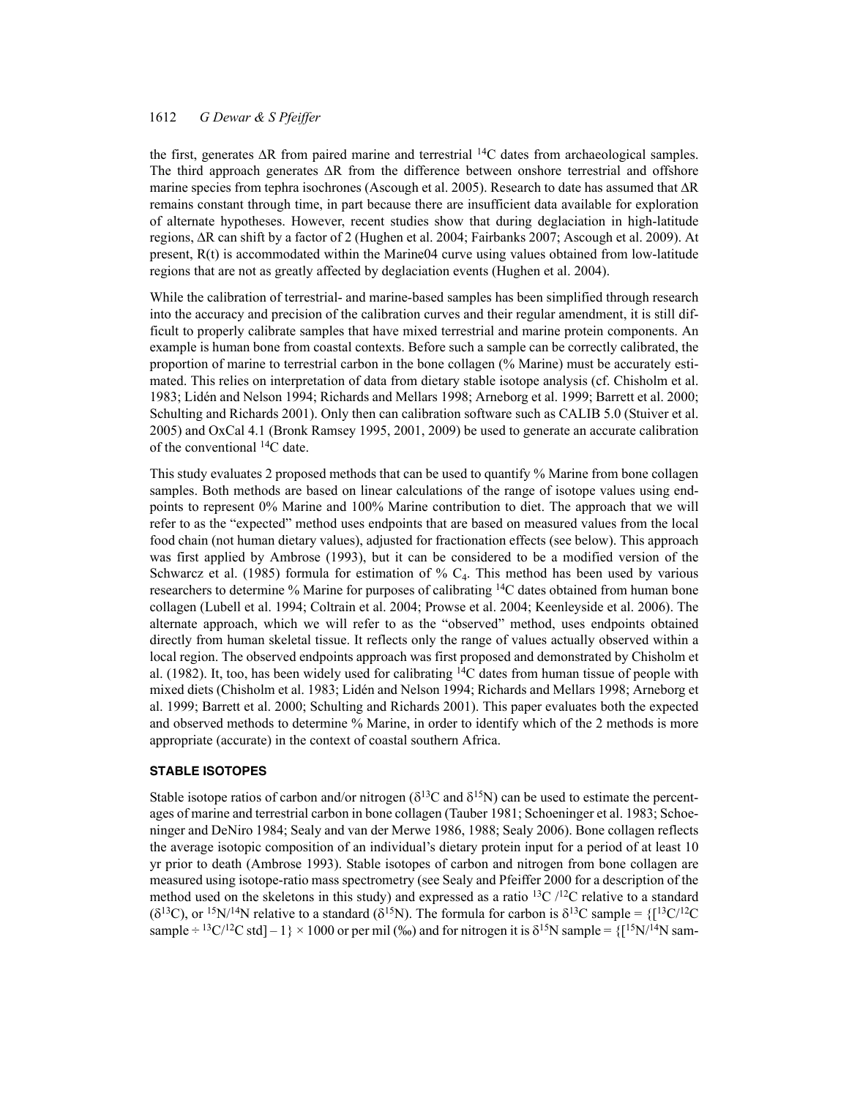the first, generates  $\Delta R$  from paired marine and terrestrial <sup>14</sup>C dates from archaeological samples. The third approach generates  $\Delta R$  from the difference between onshore terrestrial and offshore marine species from tephra isochrones (Ascough et al. 2005). Research to date has assumed that  $\Delta R$ remains constant through time, in part because there are insufficient data available for exploration of alternate hypotheses. However, recent studies show that during deglaciation in high-latitude regions,  $\Delta R$  can shift by a factor of 2 (Hughen et al. 2004; Fairbanks 2007; Ascough et al. 2009). At present, R(t) is accommodated within the Marine04 curve using values obtained from low-latitude regions that are not as greatly affected by deglaciation events (Hughen et al. 2004).

While the calibration of terrestrial- and marine-based samples has been simplified through research into the accuracy and precision of the calibration curves and their regular amendment, it is still difficult to properly calibrate samples that have mixed terrestrial and marine protein components. An example is human bone from coastal contexts. Before such a sample can be correctly calibrated, the proportion of marine to terrestrial carbon in the bone collagen (% Marine) must be accurately estimated. This relies on interpretation of data from dietary stable isotope analysis (cf. Chisholm et al. 1983; Lidén and Nelson 1994; Richards and Mellars 1998; Arneborg et al. 1999; Barrett et al. 2000; Schulting and Richards 2001). Only then can calibration software such as CALIB 5.0 (Stuiver et al. 2005) and OxCal 4.1 (Bronk Ramsey 1995, 2001, 2009) be used to generate an accurate calibration of the conventional 14C date.

This study evaluates 2 proposed methods that can be used to quantify % Marine from bone collagen samples. Both methods are based on linear calculations of the range of isotope values using endpoints to represent 0% Marine and 100% Marine contribution to diet. The approach that we will refer to as the "expected" method uses endpoints that are based on measured values from the local food chain (not human dietary values), adjusted for fractionation effects (see below). This approach was first applied by Ambrose (1993), but it can be considered to be a modified version of the Schwarcz et al. (1985) formula for estimation of  $\%$  C<sub>4</sub>. This method has been used by various researchers to determine % Marine for purposes of calibrating 14C dates obtained from human bone collagen (Lubell et al. 1994; Coltrain et al. 2004; Prowse et al. 2004; Keenleyside et al. 2006). The alternate approach, which we will refer to as the "observed" method, uses endpoints obtained directly from human skeletal tissue. It reflects only the range of values actually observed within a local region. The observed endpoints approach was first proposed and demonstrated by Chisholm et al. (1982). It, too, has been widely used for calibrating 14C dates from human tissue of people with mixed diets (Chisholm et al. 1983; Lidén and Nelson 1994; Richards and Mellars 1998; Arneborg et al. 1999; Barrett et al. 2000; Schulting and Richards 2001). This paper evaluates both the expected and observed methods to determine % Marine, in order to identify which of the 2 methods is more appropriate (accurate) in the context of coastal southern Africa.

### **STABLE ISOTOPES**

Stable isotope ratios of carbon and/or nitrogen ( $\delta^{13}C$  and  $\delta^{15}N$ ) can be used to estimate the percentages of marine and terrestrial carbon in bone collagen (Tauber 1981; Schoeninger et al. 1983; Schoeninger and DeNiro 1984; Sealy and van der Merwe 1986, 1988; Sealy 2006). Bone collagen reflects the average isotopic composition of an individual's dietary protein input for a period of at least 10 yr prior to death (Ambrose 1993). Stable isotopes of carbon and nitrogen from bone collagen are measured using isotope-ratio mass spectrometry (see Sealy and Pfeiffer 2000 for a description of the method used on the skeletons in this study) and expressed as a ratio  $^{13}C$  / $^{12}C$  relative to a standard ( $\delta^{13}$ C), or <sup>15</sup>N/<sup>14</sup>N relative to a standard ( $\delta^{15}$ N). The formula for carbon is  $\delta^{13}$ C sample = {[<sup>13</sup>C/<sup>12</sup>C sample  $\div$  <sup>13</sup>C/<sup>12</sup>C std] – 1} × 1000 or per mil (‰) and for nitrogen it is  $\delta$ <sup>15</sup>N sample = {[<sup>15</sup>N/<sup>14</sup>N sam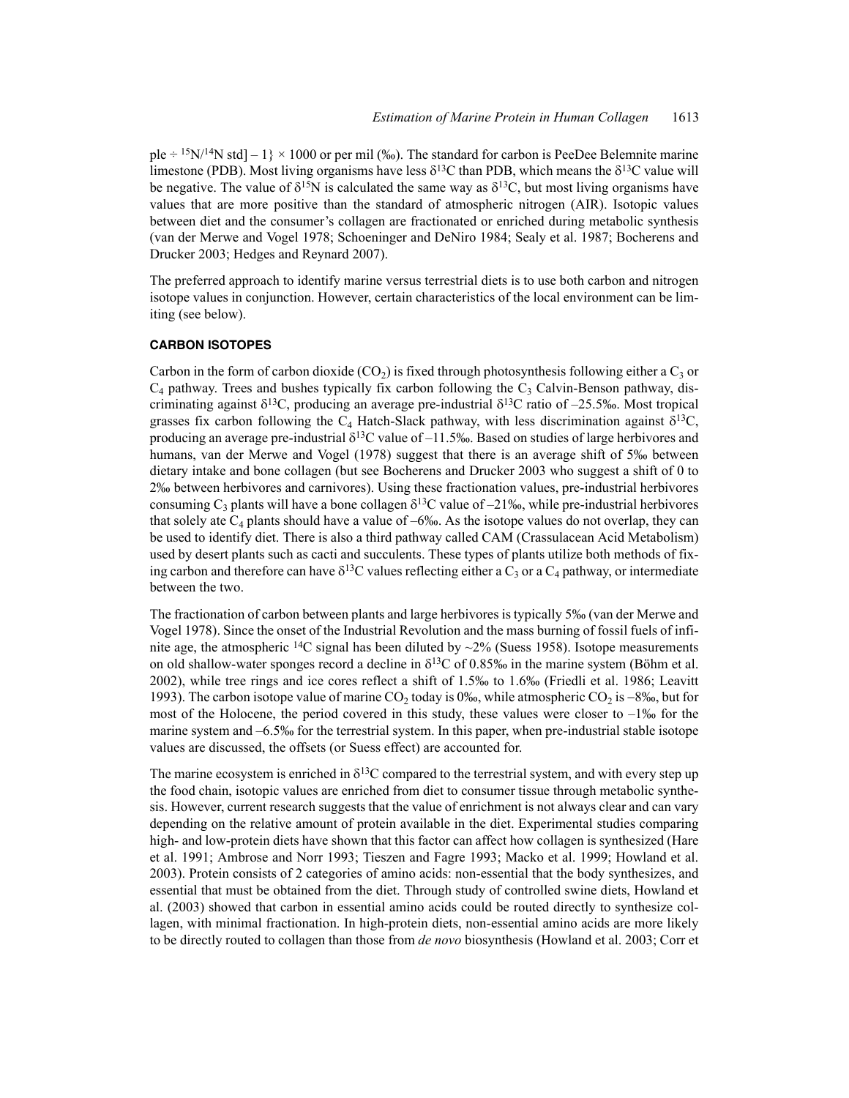ple  $\div$  <sup>15</sup>N/<sup>14</sup>N std] – 1} × 1000 or per mil (‰). The standard for carbon is PeeDee Belemnite marine limestone (PDB). Most living organisms have less  $\delta^{13}C$  than PDB, which means the  $\delta^{13}C$  value will be negative. The value of  $\delta^{15}N$  is calculated the same way as  $\delta^{13}C$ , but most living organisms have values that are more positive than the standard of atmospheric nitrogen (AIR). Isotopic values between diet and the consumer's collagen are fractionated or enriched during metabolic synthesis (van der Merwe and Vogel 1978; Schoeninger and DeNiro 1984; Sealy et al. 1987; Bocherens and Drucker 2003; Hedges and Reynard 2007).

The preferred approach to identify marine versus terrestrial diets is to use both carbon and nitrogen isotope values in conjunction. However, certain characteristics of the local environment can be limiting (see below).

# **CARBON ISOTOPES**

Carbon in the form of carbon dioxide (CO<sub>2</sub>) is fixed through photosynthesis following either a C<sub>3</sub> or  $C_4$  pathway. Trees and bushes typically fix carbon following the  $C_3$  Calvin-Benson pathway, discriminating against  $\delta^{13}C$ , producing an average pre-industrial  $\delta^{13}C$  ratio of -25.5‰. Most tropical grasses fix carbon following the C<sub>4</sub> Hatch-Slack pathway, with less discrimination against  $\delta^{13}C$ , producing an average pre-industrial  $\delta^{13}C$  value of  $-11.5%$ . Based on studies of large herbivores and humans, van der Merwe and Vogel (1978) suggest that there is an average shift of 5‰ between dietary intake and bone collagen (but see Bocherens and Drucker 2003 who suggest a shift of 0 to 2‰ between herbivores and carnivores). Using these fractionation values, pre-industrial herbivores consuming  $C_3$  plants will have a bone collagen  $\delta^{13}C$  value of –21‰, while pre-industrial herbivores that solely ate  $C_4$  plants should have a value of –6‰. As the isotope values do not overlap, they can be used to identify diet. There is also a third pathway called CAM (Crassulacean Acid Metabolism) used by desert plants such as cacti and succulents. These types of plants utilize both methods of fixing carbon and therefore can have  $\delta^{13}$ C values reflecting either a C<sub>3</sub> or a C<sub>4</sub> pathway, or intermediate between the two.

The fractionation of carbon between plants and large herbivores is typically 5‰ (van der Merwe and Vogel 1978). Since the onset of the Industrial Revolution and the mass burning of fossil fuels of infinite age, the atmospheric <sup>14</sup>C signal has been diluted by  $\sim$ 2% (Suess 1958). Isotope measurements on old shallow-water sponges record a decline in  $\delta^{13}$ C of 0.85‰ in the marine system (Böhm et al. 2002), while tree rings and ice cores reflect a shift of 1.5‰ to 1.6‰ (Friedli et al. 1986; Leavitt 1993). The carbon isotope value of marine  $CO_2$  today is 0‰, while atmospheric  $CO_2$  is  $-8\%$ , but for most of the Holocene, the period covered in this study, these values were closer to  $-1\%$  for the marine system and –6.5‰ for the terrestrial system. In this paper, when pre-industrial stable isotope values are discussed, the offsets (or Suess effect) are accounted for.

The marine ecosystem is enriched in  $\delta^{13}C$  compared to the terrestrial system, and with every step up the food chain, isotopic values are enriched from diet to consumer tissue through metabolic synthesis. However, current research suggests that the value of enrichment is not always clear and can vary depending on the relative amount of protein available in the diet. Experimental studies comparing high- and low-protein diets have shown that this factor can affect how collagen is synthesized (Hare et al. 1991; Ambrose and Norr 1993; Tieszen and Fagre 1993; Macko et al. 1999; Howland et al. 2003). Protein consists of 2 categories of amino acids: non-essential that the body synthesizes, and essential that must be obtained from the diet. Through study of controlled swine diets, Howland et al. (2003) showed that carbon in essential amino acids could be routed directly to synthesize collagen, with minimal fractionation. In high-protein diets, non-essential amino acids are more likely to be directly routed to collagen than those from *de novo* biosynthesis (Howland et al. 2003; Corr et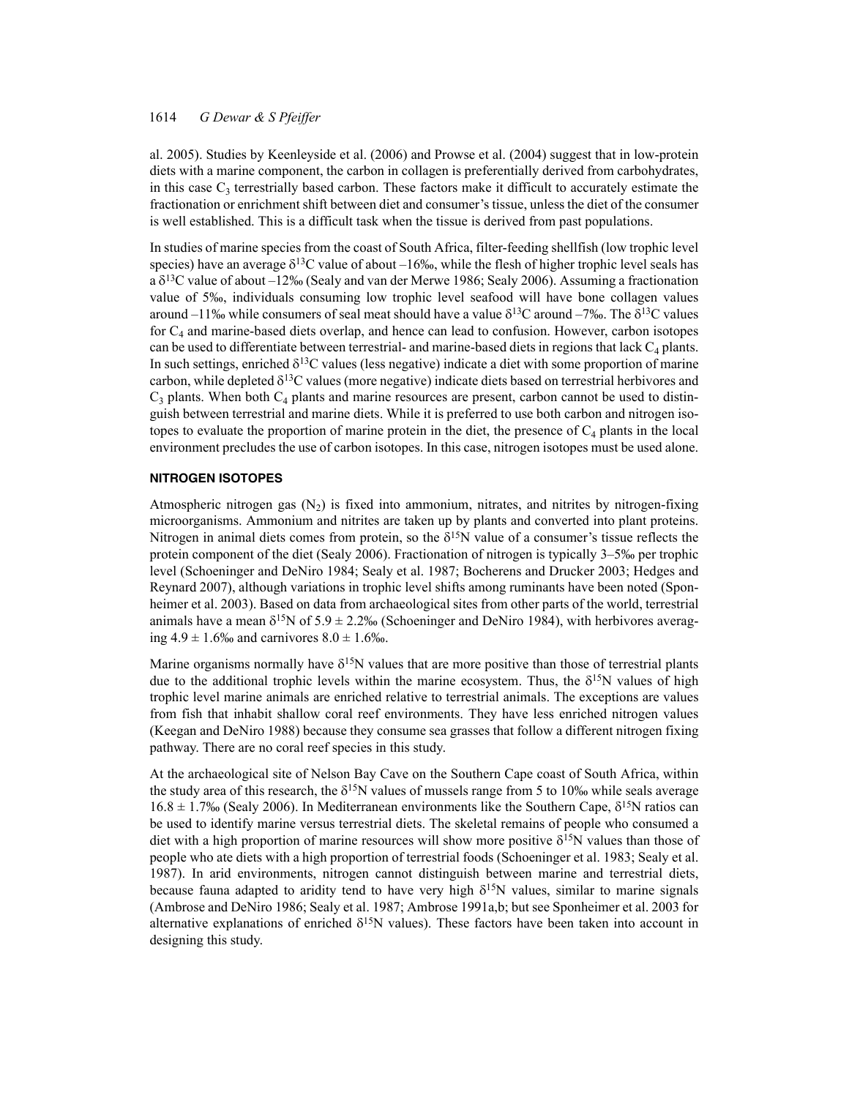al. 2005). Studies by Keenleyside et al. (2006) and Prowse et al. (2004) suggest that in low-protein diets with a marine component, the carbon in collagen is preferentially derived from carbohydrates, in this case  $C_3$  terrestrially based carbon. These factors make it difficult to accurately estimate the fractionation or enrichment shift between diet and consumer's tissue, unless the diet of the consumer is well established. This is a difficult task when the tissue is derived from past populations.

In studies of marine species from the coast of South Africa, filter-feeding shellfish (low trophic level species) have an average  $\delta^{13}$ C value of about –16‰, while the flesh of higher trophic level seals has a  $\delta^{13}$ C value of about –12‰ (Sealy and van der Merwe 1986; Sealy 2006). Assuming a fractionation value of 5‰, individuals consuming low trophic level seafood will have bone collagen values around –11‰ while consumers of seal meat should have a value  $\delta^{13}C$  around –7‰. The  $\delta^{13}C$  values for  $C_4$  and marine-based diets overlap, and hence can lead to confusion. However, carbon isotopes can be used to differentiate between terrestrial- and marine-based diets in regions that lack  $C_4$  plants. In such settings, enriched  $\delta^{13}$ C values (less negative) indicate a diet with some proportion of marine carbon, while depleted  $\delta^{13}C$  values (more negative) indicate diets based on terrestrial herbivores and  $C_3$  plants. When both  $C_4$  plants and marine resources are present, carbon cannot be used to distinguish between terrestrial and marine diets. While it is preferred to use both carbon and nitrogen isotopes to evaluate the proportion of marine protein in the diet, the presence of  $C_4$  plants in the local environment precludes the use of carbon isotopes. In this case, nitrogen isotopes must be used alone.

### **NITROGEN ISOTOPES**

Atmospheric nitrogen gas  $(N_2)$  is fixed into ammonium, nitrates, and nitrites by nitrogen-fixing microorganisms. Ammonium and nitrites are taken up by plants and converted into plant proteins. Nitrogen in animal diets comes from protein, so the  $\delta^{15}N$  value of a consumer's tissue reflects the protein component of the diet (Sealy 2006). Fractionation of nitrogen is typically 3–5‰ per trophic level (Schoeninger and DeNiro 1984; Sealy et al. 1987; Bocherens and Drucker 2003; Hedges and Reynard 2007), although variations in trophic level shifts among ruminants have been noted (Sponheimer et al. 2003). Based on data from archaeological sites from other parts of the world, terrestrial animals have a mean  $\delta^{15}N$  of  $5.9 \pm 2.2\%$  (Schoeninger and DeNiro 1984), with herbivores averaging  $4.9 \pm 1.6\%$  and carnivores  $8.0 \pm 1.6\%$ .

Marine organisms normally have  $\delta^{15}N$  values that are more positive than those of terrestrial plants due to the additional trophic levels within the marine ecosystem. Thus, the  $\delta^{15}N$  values of high trophic level marine animals are enriched relative to terrestrial animals. The exceptions are values from fish that inhabit shallow coral reef environments. They have less enriched nitrogen values (Keegan and DeNiro 1988) because they consume sea grasses that follow a different nitrogen fixing pathway. There are no coral reef species in this study.

At the archaeological site of Nelson Bay Cave on the Southern Cape coast of South Africa, within the study area of this research, the  $\delta^{15}N$  values of mussels range from 5 to 10‰ while seals average 16.8  $\pm$  1.7‰ (Sealy 2006). In Mediterranean environments like the Southern Cape,  $\delta^{15}N$  ratios can be used to identify marine versus terrestrial diets. The skeletal remains of people who consumed a diet with a high proportion of marine resources will show more positive  $\delta^{15}N$  values than those of people who ate diets with a high proportion of terrestrial foods (Schoeninger et al. 1983; Sealy et al. 1987). In arid environments, nitrogen cannot distinguish between marine and terrestrial diets, because fauna adapted to aridity tend to have very high  $\delta^{15}N$  values, similar to marine signals (Ambrose and DeNiro 1986; Sealy et al. 1987; Ambrose 1991a,b; but see Sponheimer et al. 2003 for alternative explanations of enriched  $\delta^{15}N$  values). These factors have been taken into account in designing this study.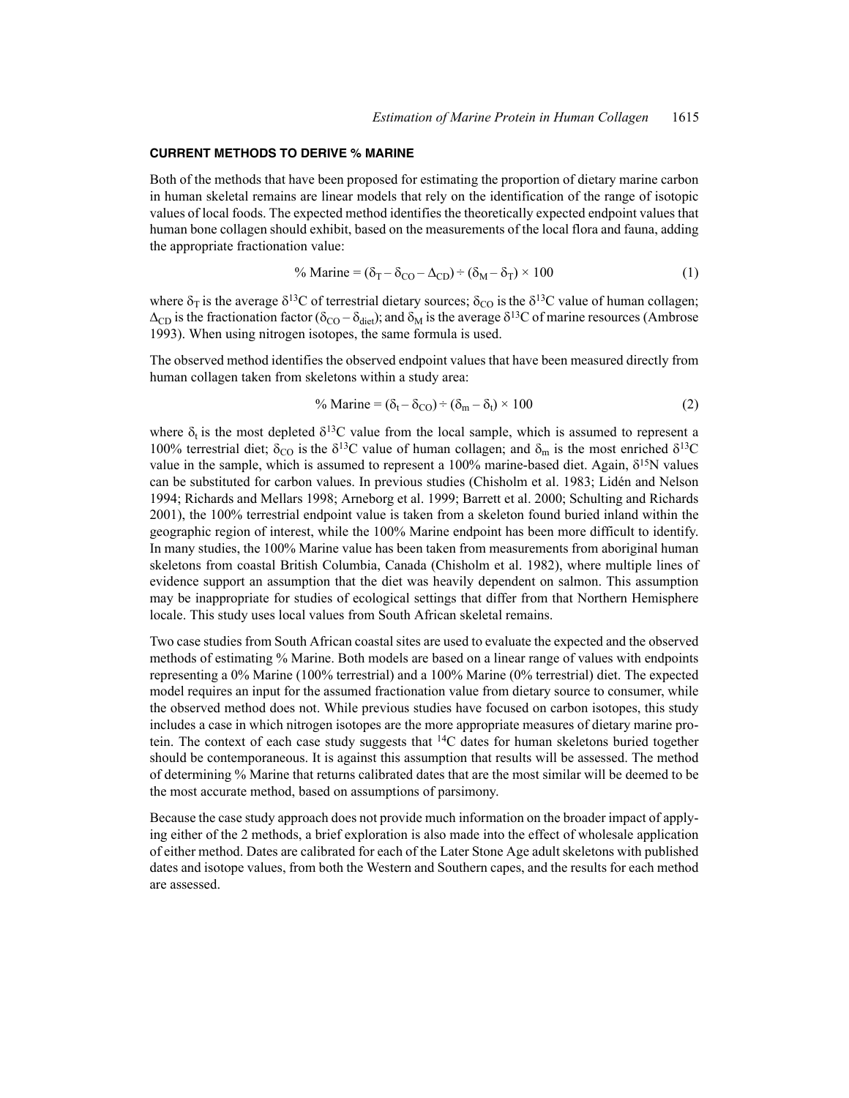#### **CURRENT METHODS TO DERIVE % MARINE**

Both of the methods that have been proposed for estimating the proportion of dietary marine carbon in human skeletal remains are linear models that rely on the identification of the range of isotopic values of local foods. The expected method identifies the theoretically expected endpoint values that human bone collagen should exhibit, based on the measurements of the local flora and fauna, adding the appropriate fractionation value:

$$
\% \text{ Marine} = (\delta_{\text{T}} - \delta_{\text{CO}} - \Delta_{\text{CD}}) \div (\delta_{\text{M}} - \delta_{\text{T}}) \times 100 \tag{1}
$$

where  $\delta_{\rm T}$  is the average  $\delta^{13}$ C of terrestrial dietary sources;  $\delta_{\rm CO}$  is the  $\delta^{13}$ C value of human collagen;  $\Delta_{CD}$  is the fractionation factor ( $\delta_{CO} - \delta_{diet}$ ); and  $\delta_M$  is the average  $\delta^{13}C$  of marine resources (Ambrose 1993). When using nitrogen isotopes, the same formula is used.

The observed method identifies the observed endpoint values that have been measured directly from human collagen taken from skeletons within a study area:

$$
\% \text{ Marine} = (\delta_t - \delta_{\text{CO}}) \div (\delta_m - \delta_t) \times 100 \tag{2}
$$

where  $\delta_t$  is the most depleted  $\delta^{13}C$  value from the local sample, which is assumed to represent a 100% terrestrial diet;  $\delta_{\rm CO}$  is the  $\delta^{13}$ C value of human collagen; and  $\delta_{\rm m}$  is the most enriched  $\delta^{13}$ C value in the sample, which is assumed to represent a 100% marine-based diet. Again,  $\delta^{15}N$  values can be substituted for carbon values. In previous studies (Chisholm et al. 1983; Lidén and Nelson 1994; Richards and Mellars 1998; Arneborg et al. 1999; Barrett et al. 2000; Schulting and Richards 2001), the 100% terrestrial endpoint value is taken from a skeleton found buried inland within the geographic region of interest, while the 100% Marine endpoint has been more difficult to identify. In many studies, the 100% Marine value has been taken from measurements from aboriginal human skeletons from coastal British Columbia, Canada (Chisholm et al. 1982), where multiple lines of evidence support an assumption that the diet was heavily dependent on salmon. This assumption may be inappropriate for studies of ecological settings that differ from that Northern Hemisphere locale. This study uses local values from South African skeletal remains.

Two case studies from South African coastal sites are used to evaluate the expected and the observed methods of estimating % Marine. Both models are based on a linear range of values with endpoints representing a 0% Marine (100% terrestrial) and a 100% Marine (0% terrestrial) diet. The expected model requires an input for the assumed fractionation value from dietary source to consumer, while the observed method does not. While previous studies have focused on carbon isotopes, this study includes a case in which nitrogen isotopes are the more appropriate measures of dietary marine protein. The context of each case study suggests that  $^{14}C$  dates for human skeletons buried together should be contemporaneous. It is against this assumption that results will be assessed. The method of determining % Marine that returns calibrated dates that are the most similar will be deemed to be the most accurate method, based on assumptions of parsimony.

Because the case study approach does not provide much information on the broader impact of applying either of the 2 methods, a brief exploration is also made into the effect of wholesale application of either method. Dates are calibrated for each of the Later Stone Age adult skeletons with published dates and isotope values, from both the Western and Southern capes, and the results for each method are assessed.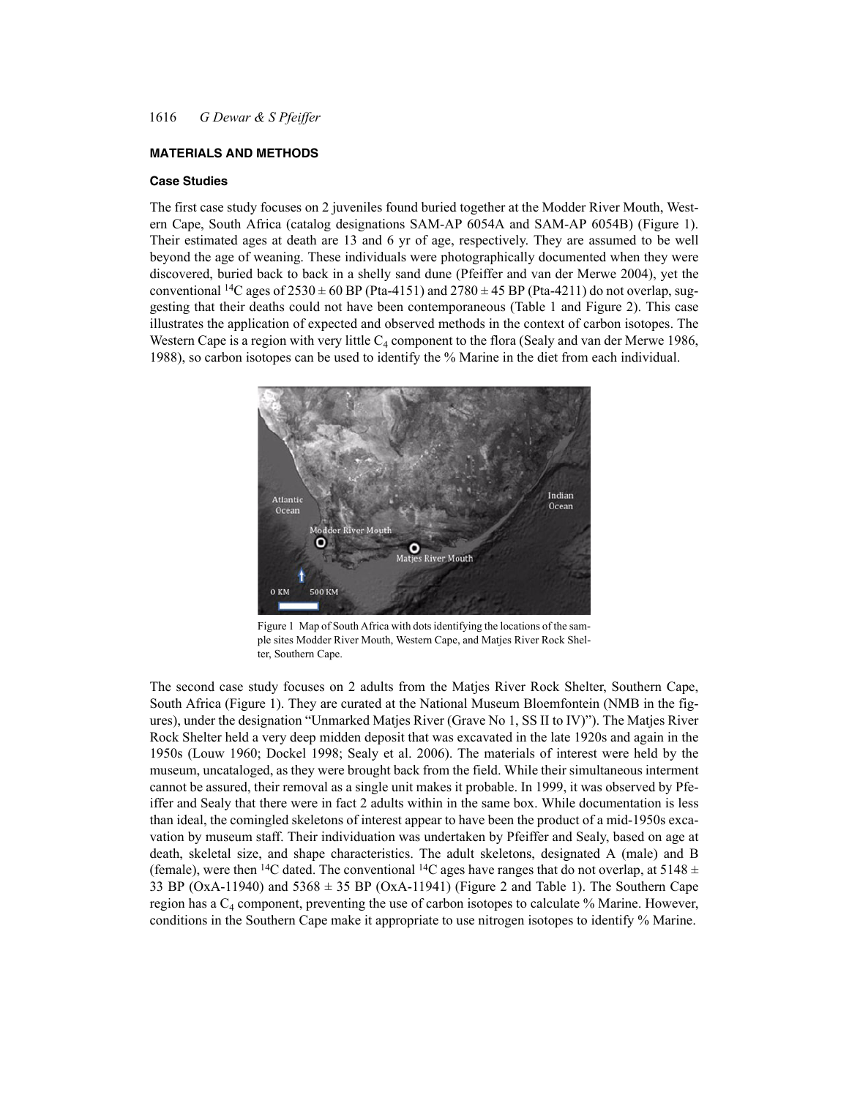# **MATERIALS AND METHODS**

## **Case Studies**

The first case study focuses on 2 juveniles found buried together at the Modder River Mouth, Western Cape, South Africa (catalog designations SAM-AP 6054A and SAM-AP 6054B) (Figure 1). Their estimated ages at death are 13 and 6 yr of age, respectively. They are assumed to be well beyond the age of weaning. These individuals were photographically documented when they were discovered, buried back to back in a shelly sand dune (Pfeiffer and van der Merwe 2004), yet the conventional <sup>14</sup>C ages of  $2530 \pm 60$  BP (Pta-4151) and  $2780 \pm 45$  BP (Pta-4211) do not overlap, suggesting that their deaths could not have been contemporaneous (Table 1 and Figure 2). This case illustrates the application of expected and observed methods in the context of carbon isotopes. The Western Cape is a region with very little  $C_4$  component to the flora (Sealy and van der Merwe 1986, 1988), so carbon isotopes can be used to identify the % Marine in the diet from each individual.



Figure 1 Map of South Africa with dots identifying the locations of the sample sites Modder River Mouth, Western Cape, and Matjes River Rock Shelter, Southern Cape.

The second case study focuses on 2 adults from the Matjes River Rock Shelter, Southern Cape, South Africa (Figure 1). They are curated at the National Museum Bloemfontein (NMB in the figures), under the designation "Unmarked Matjes River (Grave No 1, SS II to IV)"). The Matjes River Rock Shelter held a very deep midden deposit that was excavated in the late 1920s and again in the 1950s (Louw 1960; Dockel 1998; Sealy et al. 2006). The materials of interest were held by the museum, uncataloged, as they were brought back from the field. While their simultaneous interment cannot be assured, their removal as a single unit makes it probable. In 1999, it was observed by Pfeiffer and Sealy that there were in fact 2 adults within in the same box. While documentation is less than ideal, the comingled skeletons of interest appear to have been the product of a mid-1950s excavation by museum staff. Their individuation was undertaken by Pfeiffer and Sealy, based on age at death, skeletal size, and shape characteristics. The adult skeletons, designated A (male) and B (female), were then <sup>14</sup>C dated. The conventional <sup>14</sup>C ages have ranges that do not overlap, at 5148  $\pm$ 33 BP (OxA-11940) and  $5368 \pm 35$  BP (OxA-11941) (Figure 2 and Table 1). The Southern Cape region has a  $C_4$  component, preventing the use of carbon isotopes to calculate % Marine. However, conditions in the Southern Cape make it appropriate to use nitrogen isotopes to identify % Marine.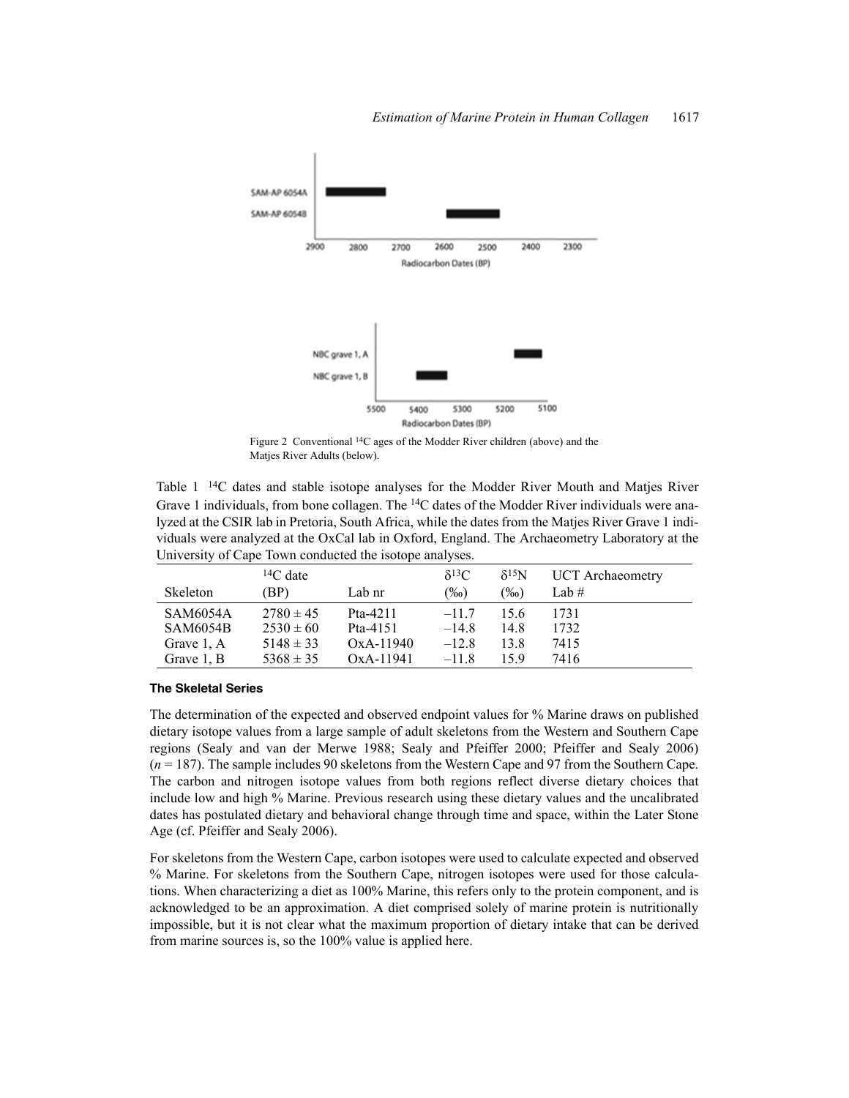

Figure 2 Conventional 14C ages of the Modder River children (above) and the Matjes River Adults (below).

Table 1 14C dates and stable isotope analyses for the Modder River Mouth and Matjes River Grave 1 individuals, from bone collagen. The 14C dates of the Modder River individuals were analyzed at the CSIR lab in Pretoria, South Africa, while the dates from the Matjes River Grave 1 individuals were analyzed at the OxCal lab in Oxford, England. The Archaeometry Laboratory at the University of Cape Town conducted the isotope analyses.

|                 | ${}^{14}C$ date |             | $\delta^{13}C$ | $\delta^{15}N$ | <b>UCT</b> Archaeometry |
|-----------------|-----------------|-------------|----------------|----------------|-------------------------|
| Skeleton        | (BP)            | Lab nr      | $(\%0)$        | $\frac{9}{00}$ | Lab $#$                 |
| <b>SAM6054A</b> | $2780 \pm 45$   | Pta-4211    | $-117$         | 15.6           | 1731                    |
| <b>SAM6054B</b> | $2530 \pm 60$   | Pta-4151    | $-14.8$        | 14.8           | 1732                    |
| Grave 1, A      | $5148 \pm 33$   | $OxA-11940$ | $-12.8$        | 13.8           | 7415                    |
| Grave 1, B      | $5368 \pm 35$   | OxA-11941   | $-118$         | 159            | 7416                    |

# **The Skeletal Series**

The determination of the expected and observed endpoint values for % Marine draws on published dietary isotope values from a large sample of adult skeletons from the Western and Southern Cape regions (Sealy and van der Merwe 1988; Sealy and Pfeiffer 2000; Pfeiffer and Sealy 2006) (*n* = 187). The sample includes 90 skeletons from the Western Cape and 97 from the Southern Cape. The carbon and nitrogen isotope values from both regions reflect diverse dietary choices that include low and high % Marine. Previous research using these dietary values and the uncalibrated dates has postulated dietary and behavioral change through time and space, within the Later Stone Age (cf. Pfeiffer and Sealy 2006).

For skeletons from the Western Cape, carbon isotopes were used to calculate expected and observed % Marine. For skeletons from the Southern Cape, nitrogen isotopes were used for those calculations. When characterizing a diet as 100% Marine, this refers only to the protein component, and is acknowledged to be an approximation. A diet comprised solely of marine protein is nutritionally impossible, but it is not clear what the maximum proportion of dietary intake that can be derived from marine sources is, so the 100% value is applied here.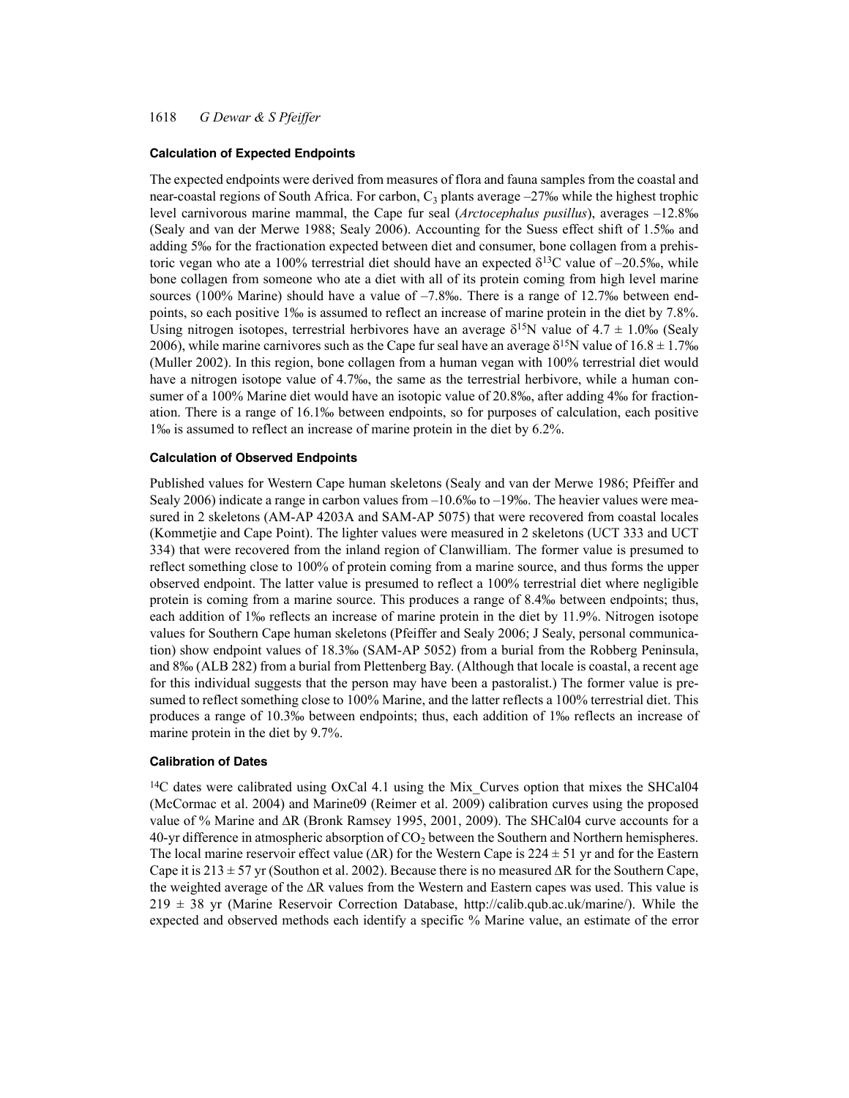#### **Calculation of Expected Endpoints**

The expected endpoints were derived from measures of flora and fauna samples from the coastal and near-coastal regions of South Africa. For carbon,  $C_3$  plants average  $-27%$  while the highest trophic level carnivorous marine mammal, the Cape fur seal (*Arctocephalus pusillus*), averages –12.8‰ (Sealy and van der Merwe 1988; Sealy 2006). Accounting for the Suess effect shift of 1.5‰ and adding 5‰ for the fractionation expected between diet and consumer, bone collagen from a prehistoric vegan who ate a 100% terrestrial diet should have an expected  $\delta^{13}$ C value of –20.5‰, while bone collagen from someone who ate a diet with all of its protein coming from high level marine sources (100% Marine) should have a value of  $-7.8\%$ . There is a range of 12.7‰ between endpoints, so each positive 1‰ is assumed to reflect an increase of marine protein in the diet by 7.8%. Using nitrogen isotopes, terrestrial herbivores have an average  $\delta^{15}N$  value of 4.7  $\pm$  1.0‰ (Sealy 2006), while marine carnivores such as the Cape fur seal have an average  $\delta^{15}N$  value of  $16.8 \pm 1.7\%$ (Muller 2002). In this region, bone collagen from a human vegan with 100% terrestrial diet would have a nitrogen isotope value of 4.7‰, the same as the terrestrial herbivore, while a human consumer of a 100% Marine diet would have an isotopic value of 20.8‰, after adding 4‰ for fractionation. There is a range of 16.1‰ between endpoints, so for purposes of calculation, each positive 1‰ is assumed to reflect an increase of marine protein in the diet by 6.2%.

### **Calculation of Observed Endpoints**

Published values for Western Cape human skeletons (Sealy and van der Merwe 1986; Pfeiffer and Sealy 2006) indicate a range in carbon values from –10.6‰ to –19‰. The heavier values were measured in 2 skeletons (AM-AP 4203A and SAM-AP 5075) that were recovered from coastal locales (Kommetjie and Cape Point). The lighter values were measured in 2 skeletons (UCT 333 and UCT 334) that were recovered from the inland region of Clanwilliam. The former value is presumed to reflect something close to 100% of protein coming from a marine source, and thus forms the upper observed endpoint. The latter value is presumed to reflect a 100% terrestrial diet where negligible protein is coming from a marine source. This produces a range of 8.4‰ between endpoints; thus, each addition of 1‰ reflects an increase of marine protein in the diet by 11.9%. Nitrogen isotope values for Southern Cape human skeletons (Pfeiffer and Sealy 2006; J Sealy, personal communication) show endpoint values of 18.3‰ (SAM-AP 5052) from a burial from the Robberg Peninsula, and 8‰ (ALB 282) from a burial from Plettenberg Bay. (Although that locale is coastal, a recent age for this individual suggests that the person may have been a pastoralist.) The former value is presumed to reflect something close to 100% Marine, and the latter reflects a 100% terrestrial diet. This produces a range of 10.3‰ between endpoints; thus, each addition of 1‰ reflects an increase of marine protein in the diet by 9.7%.

### **Calibration of Dates**

 $14C$  dates were calibrated using OxCal 4.1 using the Mix\_Curves option that mixes the SHCal04 (McCormac et al. 2004) and Marine09 (Reimer et al. 2009) calibration curves using the proposed value of % Marine and  $\Delta R$  (Bronk Ramsey 1995, 2001, 2009). The SHCal04 curve accounts for a 40-yr difference in atmospheric absorption of  $CO<sub>2</sub>$  between the Southern and Northern hemispheres. The local marine reservoir effect value ( $\Delta R$ ) for the Western Cape is 224  $\pm$  51 yr and for the Eastern Cape it is 213  $\pm$  57 yr (Southon et al. 2002). Because there is no measured  $\Delta R$  for the Southern Cape, the weighted average of the  $\Delta R$  values from the Western and Eastern capes was used. This value is 219 ± 38 yr (Marine Reservoir Correction Database, http://calib.qub.ac.uk/marine/). While the expected and observed methods each identify a specific % Marine value, an estimate of the error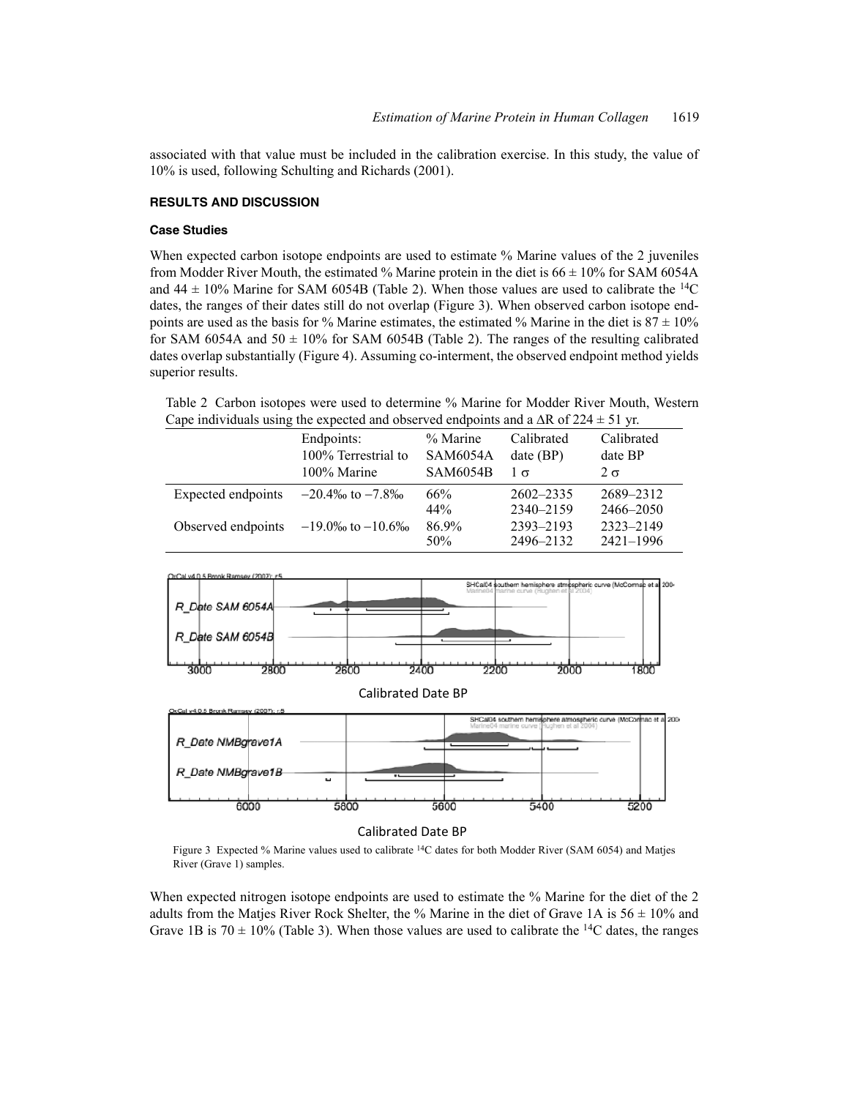associated with that value must be included in the calibration exercise. In this study, the value of 10% is used, following Schulting and Richards (2001).

# **RESULTS AND DISCUSSION**

## **Case Studies**

When expected carbon isotope endpoints are used to estimate % Marine values of the 2 juveniles from Modder River Mouth, the estimated % Marine protein in the diet is  $66 \pm 10\%$  for SAM 6054A and 44  $\pm$  10% Marine for SAM 6054B (Table 2). When those values are used to calibrate the <sup>14</sup>C dates, the ranges of their dates still do not overlap (Figure 3). When observed carbon isotope endpoints are used as the basis for % Marine estimates, the estimated % Marine in the diet is  $87 \pm 10\%$ for SAM 6054A and 50  $\pm$  10% for SAM 6054B (Table 2). The ranges of the resulting calibrated dates overlap substantially (Figure 4). Assuming co-interment, the observed endpoint method yields superior results.

Table 2 Carbon isotopes were used to determine % Marine for Modder River Mouth, Western Cape individuals using the expected and observed endpoints and a  $\Delta R$  of 224  $\pm$  51 yr.

|                                           | Endpoints:<br>100% Terrestrial to | % Marine<br><b>SAM6054A</b> | Calibrated<br>$date$ (BP) | Calibrated<br>date BP |
|-------------------------------------------|-----------------------------------|-----------------------------|---------------------------|-----------------------|
|                                           | 100% Marine                       | <b>SAM6054B</b>             | $1\sigma$                 | $2 \sigma$            |
| Expected endpoints                        | $-20.4\%$ to $-7.8\%$             | 66%                         | $2602 - 2335$             | 2689-2312             |
|                                           |                                   | 44%                         | 2340-2159                 | 2466-2050             |
| Observed endpoints $-19.0\%$ to $-10.6\%$ |                                   | 86.9%                       | 2393-2193                 | 2323-2149             |
|                                           |                                   | 50\%                        | 2496-2132                 | 2421-1996             |



Calibrated Date BP

Figure 3 Expected % Marine values used to calibrate 14C dates for both Modder River (SAM 6054) and Matjes River (Grave 1) samples.

When expected nitrogen isotope endpoints are used to estimate the % Marine for the diet of the 2 adults from the Matjes River Rock Shelter, the % Marine in the diet of Grave 1A is  $56 \pm 10\%$  and Grave 1B is  $70 \pm 10\%$  (Table 3). When those values are used to calibrate the <sup>14</sup>C dates, the ranges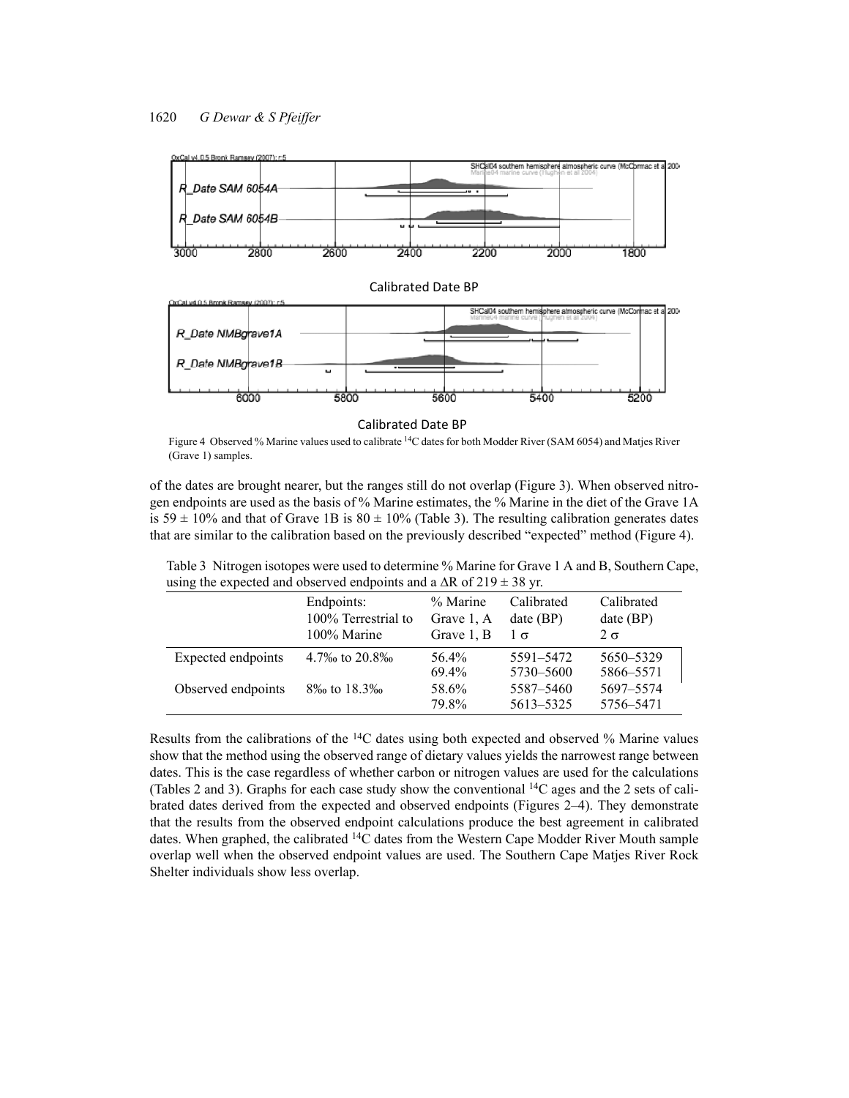

Calibrated Date BP

Figure 4 Observed % Marine values used to calibrate 14C dates for both Modder River (SAM 6054) and Matjes River (Grave 1) samples.

of the dates are brought nearer, but the ranges still do not overlap (Figure 3). When observed nitrogen endpoints are used as the basis of % Marine estimates, the % Marine in the diet of the Grave 1A is 59  $\pm$  10% and that of Grave 1B is 80  $\pm$  10% (Table 3). The resulting calibration generates dates that are similar to the calibration based on the previously described "expected" method (Figure 4).

| Table 3 Nitrogen isotopes were used to determine % Marine for Grave 1 A and B, Southern Cape, |
|-----------------------------------------------------------------------------------------------|
| using the expected and observed endpoints and a $\Delta R$ of $219 \pm 38$ yr.                |

|                    | Endpoints:<br>100% Terrestrial to<br>100% Marine | % Marine<br>Grave 1, A<br>Grave 1, B | Calibrated<br>$date$ (BP)<br>$1\sigma$ | Calibrated<br>$date$ (BP)<br>$2 \sigma$ |
|--------------------|--------------------------------------------------|--------------------------------------|----------------------------------------|-----------------------------------------|
| Expected endpoints | 4.7\% to 20.8\%                                  | 56.4%<br>69.4%                       | 5591-5472<br>5730-5600                 | 5650-5329<br>5866-5571                  |
| Observed endpoints | 8\% to 18.3\%                                    | 58.6%<br>79.8%                       | 5587-5460<br>5613-5325                 | 5697-5574<br>5756-5471                  |

Results from the calibrations of the  $14C$  dates using both expected and observed % Marine values show that the method using the observed range of dietary values yields the narrowest range between dates. This is the case regardless of whether carbon or nitrogen values are used for the calculations (Tables 2 and 3). Graphs for each case study show the conventional  ${}^{14}C$  ages and the 2 sets of calibrated dates derived from the expected and observed endpoints (Figures 2–4). They demonstrate that the results from the observed endpoint calculations produce the best agreement in calibrated dates. When graphed, the calibrated 14C dates from the Western Cape Modder River Mouth sample overlap well when the observed endpoint values are used. The Southern Cape Matjes River Rock Shelter individuals show less overlap.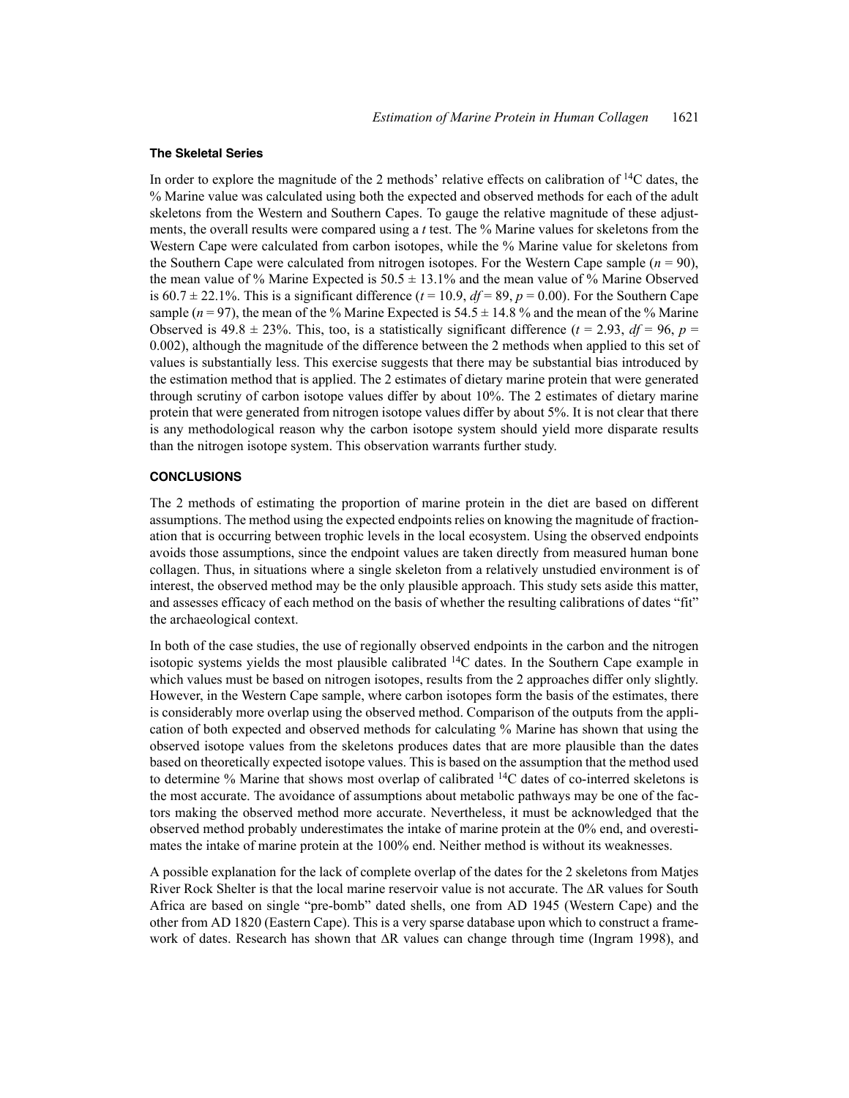#### **The Skeletal Series**

In order to explore the magnitude of the 2 methods' relative effects on calibration of  $^{14}C$  dates, the % Marine value was calculated using both the expected and observed methods for each of the adult skeletons from the Western and Southern Capes. To gauge the relative magnitude of these adjustments, the overall results were compared using a *t* test. The % Marine values for skeletons from the Western Cape were calculated from carbon isotopes, while the % Marine value for skeletons from the Southern Cape were calculated from nitrogen isotopes. For the Western Cape sample  $(n = 90)$ , the mean value of % Marine Expected is  $50.5 \pm 13.1$ % and the mean value of % Marine Observed is 60.7  $\pm$  22.1%. This is a significant difference ( $t = 10.9$ ,  $df = 89$ ,  $p = 0.00$ ). For the Southern Cape sample ( $n = 97$ ), the mean of the % Marine Expected is  $54.5 \pm 14.8$  % and the mean of the % Marine Observed is  $49.8 \pm 23\%$ . This, too, is a statistically significant difference ( $t = 2.93$ ,  $df = 96$ ,  $p =$ 0.002), although the magnitude of the difference between the 2 methods when applied to this set of values is substantially less. This exercise suggests that there may be substantial bias introduced by the estimation method that is applied. The 2 estimates of dietary marine protein that were generated through scrutiny of carbon isotope values differ by about 10%. The 2 estimates of dietary marine protein that were generated from nitrogen isotope values differ by about 5%. It is not clear that there is any methodological reason why the carbon isotope system should yield more disparate results than the nitrogen isotope system. This observation warrants further study.

## **CONCLUSIONS**

The 2 methods of estimating the proportion of marine protein in the diet are based on different assumptions. The method using the expected endpoints relies on knowing the magnitude of fractionation that is occurring between trophic levels in the local ecosystem. Using the observed endpoints avoids those assumptions, since the endpoint values are taken directly from measured human bone collagen. Thus, in situations where a single skeleton from a relatively unstudied environment is of interest, the observed method may be the only plausible approach. This study sets aside this matter, and assesses efficacy of each method on the basis of whether the resulting calibrations of dates "fit" the archaeological context.

In both of the case studies, the use of regionally observed endpoints in the carbon and the nitrogen isotopic systems yields the most plausible calibrated 14C dates. In the Southern Cape example in which values must be based on nitrogen isotopes, results from the 2 approaches differ only slightly. However, in the Western Cape sample, where carbon isotopes form the basis of the estimates, there is considerably more overlap using the observed method. Comparison of the outputs from the application of both expected and observed methods for calculating % Marine has shown that using the observed isotope values from the skeletons produces dates that are more plausible than the dates based on theoretically expected isotope values. This is based on the assumption that the method used to determine % Marine that shows most overlap of calibrated 14C dates of co-interred skeletons is the most accurate. The avoidance of assumptions about metabolic pathways may be one of the factors making the observed method more accurate. Nevertheless, it must be acknowledged that the observed method probably underestimates the intake of marine protein at the 0% end, and overestimates the intake of marine protein at the 100% end. Neither method is without its weaknesses.

A possible explanation for the lack of complete overlap of the dates for the 2 skeletons from Matjes River Rock Shelter is that the local marine reservoir value is not accurate. The  $\Delta R$  values for South Africa are based on single "pre-bomb" dated shells, one from AD 1945 (Western Cape) and the other from AD 1820 (Eastern Cape). This is a very sparse database upon which to construct a framework of dates. Research has shown that  $\Delta R$  values can change through time (Ingram 1998), and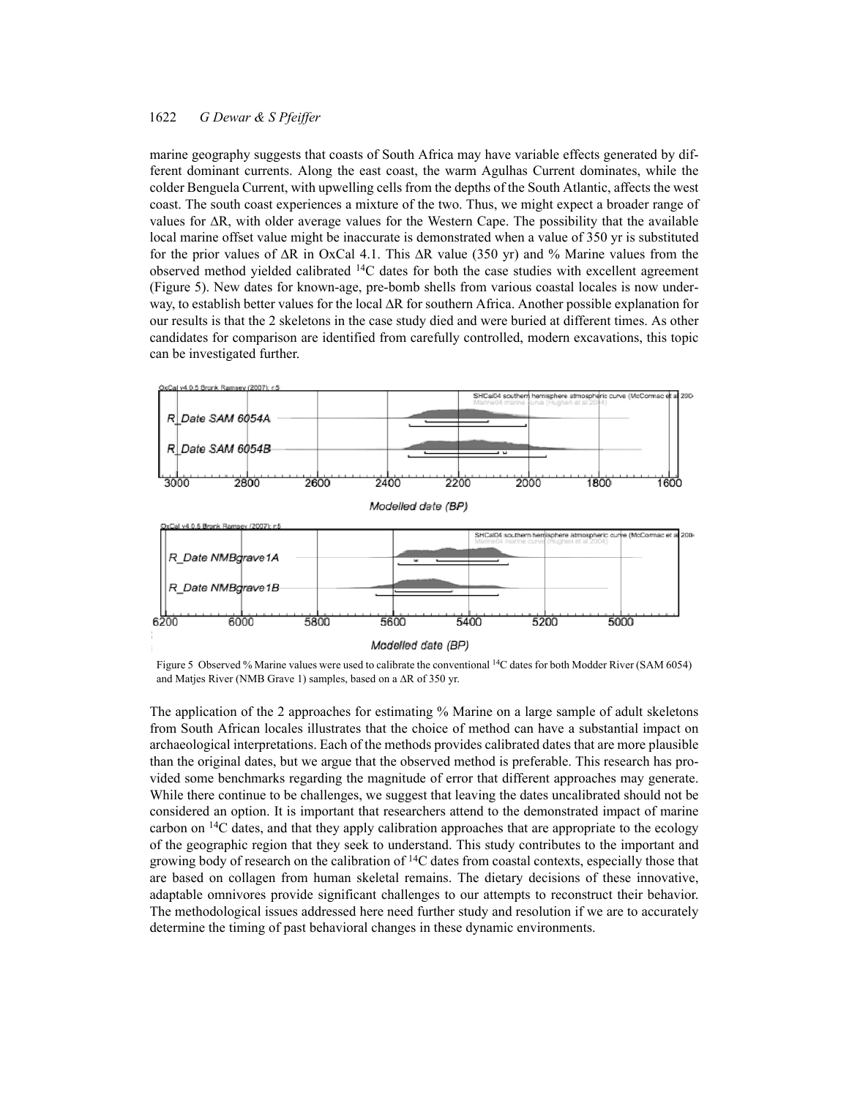marine geography suggests that coasts of South Africa may have variable effects generated by different dominant currents. Along the east coast, the warm Agulhas Current dominates, while the colder Benguela Current, with upwelling cells from the depths of the South Atlantic, affects the west coast. The south coast experiences a mixture of the two. Thus, we might expect a broader range of values for  $\Delta R$ , with older average values for the Western Cape. The possibility that the available local marine offset value might be inaccurate is demonstrated when a value of 350 yr is substituted for the prior values of  $\Delta R$  in OxCal 4.1. This  $\Delta R$  value (350 yr) and % Marine values from the observed method yielded calibrated  $14C$  dates for both the case studies with excellent agreement (Figure 5). New dates for known-age, pre-bomb shells from various coastal locales is now underway, to establish better values for the local  $\Delta R$  for southern Africa. Another possible explanation for our results is that the 2 skeletons in the case study died and were buried at different times. As other candidates for comparison are identified from carefully controlled, modern excavations, this topic can be investigated further.



Figure 5 Observed % Marine values were used to calibrate the conventional 14C dates for both Modder River (SAM 6054) and Matjes River (NMB Grave 1) samples, based on a  $\Delta R$  of 350 yr.

The application of the 2 approaches for estimating % Marine on a large sample of adult skeletons from South African locales illustrates that the choice of method can have a substantial impact on archaeological interpretations. Each of the methods provides calibrated dates that are more plausible than the original dates, but we argue that the observed method is preferable. This research has provided some benchmarks regarding the magnitude of error that different approaches may generate. While there continue to be challenges, we suggest that leaving the dates uncalibrated should not be considered an option. It is important that researchers attend to the demonstrated impact of marine carbon on 14C dates, and that they apply calibration approaches that are appropriate to the ecology of the geographic region that they seek to understand. This study contributes to the important and growing body of research on the calibration of 14C dates from coastal contexts, especially those that are based on collagen from human skeletal remains. The dietary decisions of these innovative, adaptable omnivores provide significant challenges to our attempts to reconstruct their behavior. The methodological issues addressed here need further study and resolution if we are to accurately determine the timing of past behavioral changes in these dynamic environments.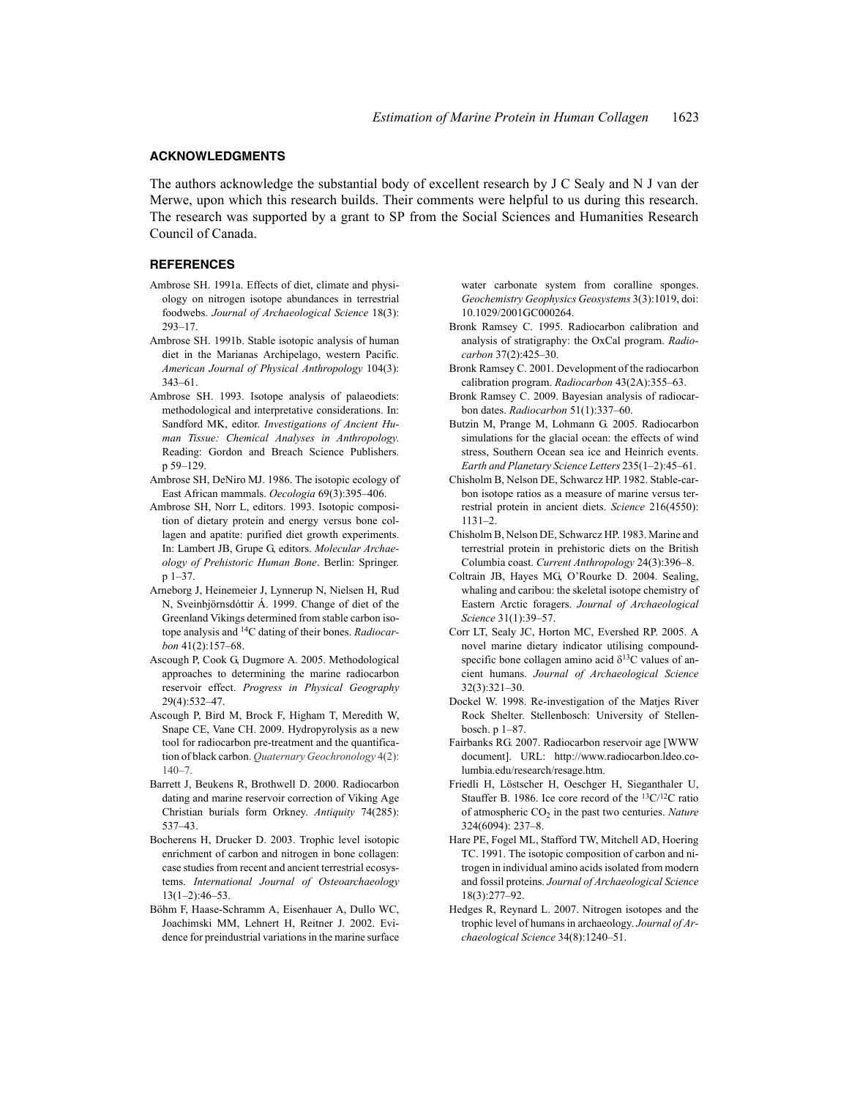#### **ACKNOWLEDGMENTS**

The authors acknowledge the substantial body of excellent research by J C Sealy and N J van der Merwe, upon which this research builds. Their comments were helpful to us during this research. The research was supported by a grant to SP from the Social Sciences and Humanities Research Council of Canada.

### **REFERENCES**

- Ambrose SH. 1991a. Effects of diet, climate and physiology on nitrogen isotope abundances in terrestrial foodwebs. *Journal of Archaeological Science* 18(3): 293–17.
- Ambrose SH. 1991b. Stable isotopic analysis of human diet in the Marianas Archipelago, western Pacific. *American Journal of Physical Anthropology* 104(3): 343–61.
- Ambrose SH. 1993. Isotope analysis of palaeodiets: methodological and interpretative considerations. In: Sandford MK, editor. *Investigations of Ancient Human Tissue: Chemical Analyses in Anthropology*. Reading: Gordon and Breach Science Publishers. p 59–129.
- Ambrose SH, DeNiro MJ. 1986. The isotopic ecology of East African mammals. *Oecologia* 69(3):395–406.
- Ambrose SH, Norr L, editors. 1993. Isotopic composition of dietary protein and energy versus bone collagen and apatite: purified diet growth experiments. In: Lambert JB, Grupe G, editors. *Molecular Archaeology of Prehistoric Human Bone*. Berlin: Springer. p 1–37.
- Arneborg J, Heinemeier J, Lynnerup N, Nielsen H, Rud N, Sveinbjörnsdóttir Á. 1999. Change of diet of the Greenland Vikings determined from stable carbon isotope analysis and 14C dating of their bones. *Radiocarbon* 41(2):157–68.
- Ascough P, Cook G, Dugmore A. 2005. Methodological approaches to determining the marine radiocarbon reservoir effect. *Progress in Physical Geography* 29(4):532–47.
- Ascough P, Bird M, Brock F, Higham T, Meredith W, Snape CE, Vane CH. 2009. Hydropyrolysis as a new tool for radiocarbon pre-treatment and the quantification of black carbon. *Quaternary Geochronology* 4(2): 140–7.
- Barrett J, Beukens R, Brothwell D. 2000. Radiocarbon dating and marine reservoir correction of Viking Age Christian burials form Orkney. *Antiquity* 74(285): 537–43.
- Bocherens H, Drucker D. 2003. Trophic level isotopic enrichment of carbon and nitrogen in bone collagen: case studies from recent and ancient terrestrial ecosystems. *International Journal of Osteoarchaeology*  $13(1-2):46-53$ .
- Böhm F, Haase-Schramm A, Eisenhauer A, Dullo WC, Joachimski MM, Lehnert H, Reitner J. 2002. Evidence for preindustrial variations in the marine surface

water carbonate system from coralline sponges. *Geochemistry Geophysics Geosystems* 3(3):1019, doi: 10.1029/2001GC000264.

- Bronk Ramsey C. 1995. Radiocarbon calibration and analysis of stratigraphy: the OxCal program. *Radiocarbon* 37(2):425–30.
- Bronk Ramsey C. 2001. Development of the radiocarbon calibration program. *Radiocarbon* 43(2A):355–63.
- Bronk Ramsey C. 2009. Bayesian analysis of radiocarbon dates. *Radiocarbon* 51(1):337–60.
- Butzin M, Prange M, Lohmann G. 2005. Radiocarbon simulations for the glacial ocean: the effects of wind stress, Southern Ocean sea ice and Heinrich events. *Earth and Planetary Science Letters* 235(1–2):45–61.
- Chisholm B, Nelson DE, Schwarcz HP. 1982. Stable-carbon isotope ratios as a measure of marine versus terrestrial protein in ancient diets. *Science* 216(4550): 1131–2.
- Chisholm B, Nelson DE, Schwarcz HP. 1983. Marine and terrestrial protein in prehistoric diets on the British Columbia coast. *Current Anthropology* 24(3):396–8.
- Coltrain JB, Hayes MG, O'Rourke D. 2004. Sealing, whaling and caribou: the skeletal isotope chemistry of Eastern Arctic foragers. *Journal of Archaeological Science* 31(1):39–57.
- Corr LT, Sealy JC, Horton MC, Evershed RP. 2005. A novel marine dietary indicator utilising compoundspecific bone collagen amino acid  $\delta^{13}$ C values of ancient humans. *Journal of Archaeological Science* 32(3):321–30.
- Dockel W. 1998. Re-investigation of the Matjes River Rock Shelter. Stellenbosch: University of Stellenbosch. p 1–87.
- Fairbanks RG. 2007. Radiocarbon reservoir age [WWW document]. URL: http://www.radiocarbon.ldeo.columbia.edu/research/resage.htm.
- Friedli H, Löstscher H, Oeschger H, Sieganthaler U, Stauffer B. 1986. Ice core record of the 13C/12C ratio of atmospheric CO<sub>2</sub> in the past two centuries. *Nature* 324(6094): 237–8.
- Hare PE, Fogel ML, Stafford TW, Mitchell AD, Hoering TC. 1991. The isotopic composition of carbon and nitrogen in individual amino acids isolated from modern and fossil proteins. *Journal of Archaeological Science* 18(3):277–92.
- Hedges R, Reynard L. 2007. Nitrogen isotopes and the trophic level of humans in archaeology. *Journal of Archaeological Science* 34(8):1240–51.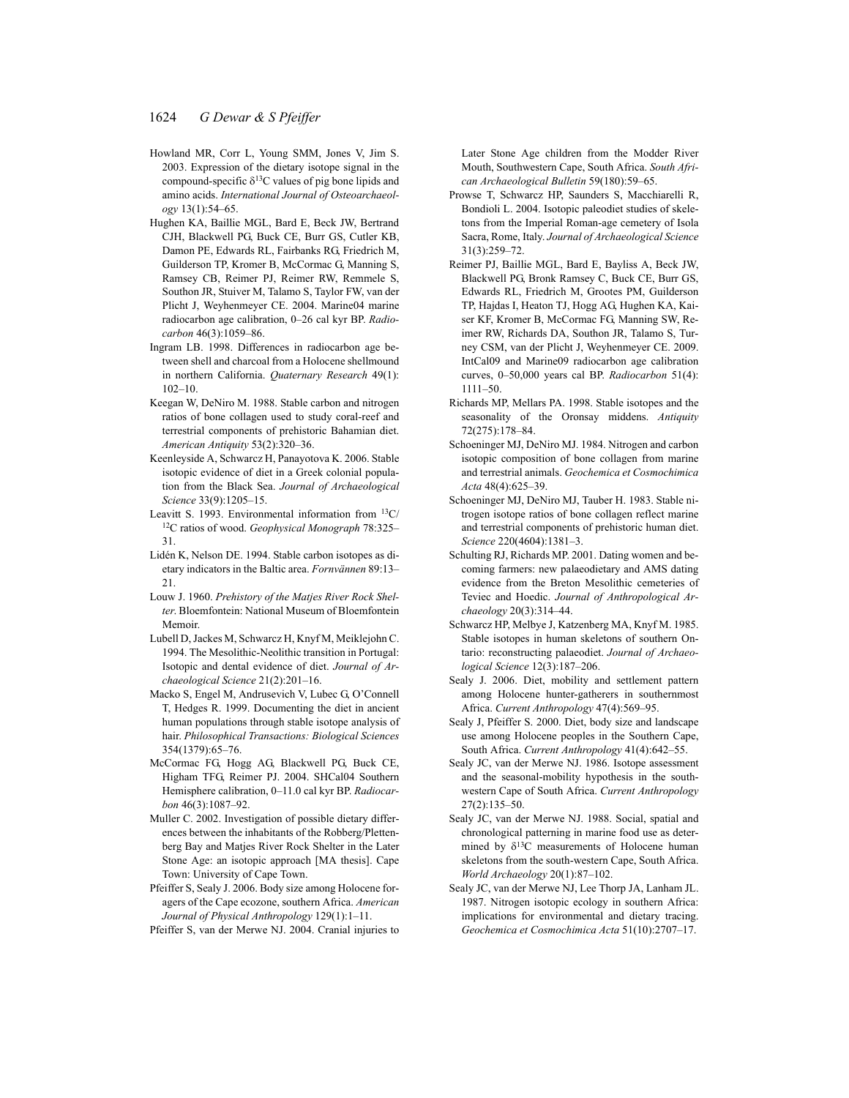- Howland MR, Corr L, Young SMM, Jones V, Jim S. 2003. Expression of the dietary isotope signal in the compound-specific  $\delta^{13}$ C values of pig bone lipids and amino acids. *International Journal of Osteoarchaeology* 13(1):54–65.
- Hughen KA, Baillie MGL, Bard E, Beck JW, Bertrand CJH, Blackwell PG, Buck CE, Burr GS, Cutler KB, Damon PE, Edwards RL, Fairbanks RG, Friedrich M, Guilderson TP, Kromer B, McCormac G, Manning S, Ramsey CB, Reimer PJ, Reimer RW, Remmele S, Southon JR, Stuiver M, Talamo S, Taylor FW, van der Plicht J, Weyhenmeyer CE. 2004. Marine04 marine radiocarbon age calibration, 0–26 cal kyr BP. *Radiocarbon* 46(3):1059–86.
- Ingram LB. 1998. Differences in radiocarbon age between shell and charcoal from a Holocene shellmound in northern California. *Quaternary Research* 49(1): 102–10.
- Keegan W, DeNiro M. 1988. Stable carbon and nitrogen ratios of bone collagen used to study coral-reef and terrestrial components of prehistoric Bahamian diet. *American Antiquity* 53(2):320–36.
- Keenleyside A, Schwarcz H, Panayotova K. 2006. Stable isotopic evidence of diet in a Greek colonial population from the Black Sea. *Journal of Archaeological Science* 33(9):1205–15.
- Leavitt S. 1993. Environmental information from  $13C/$ 12C ratios of wood. *Geophysical Monograph* 78:325– 31.
- Lidén K, Nelson DE. 1994. Stable carbon isotopes as dietary indicators in the Baltic area. *Fornvännen* 89:13– 21.
- Louw J. 1960. *Prehistory of the Matjes River Rock Shelter*. Bloemfontein: National Museum of Bloemfontein Memoir.
- Lubell D, Jackes M, Schwarcz H, Knyf M, Meiklejohn C. 1994. The Mesolithic-Neolithic transition in Portugal: Isotopic and dental evidence of diet. *Journal of Archaeological Science* 21(2):201–16.
- Macko S, Engel M, Andrusevich V, Lubec G, O'Connell T, Hedges R. 1999. Documenting the diet in ancient human populations through stable isotope analysis of hair. *Philosophical Transactions: Biological Sciences* 354(1379):65–76.
- McCormac FG, Hogg AG, Blackwell PG, Buck CE, Higham TFG, Reimer PJ. 2004. SHCal04 Southern Hemisphere calibration, 0–11.0 cal kyr BP. *Radiocarbon* 46(3):1087–92.
- Muller C. 2002. Investigation of possible dietary differences between the inhabitants of the Robberg/Plettenberg Bay and Matjes River Rock Shelter in the Later Stone Age: an isotopic approach [MA thesis]. Cape Town: University of Cape Town.
- Pfeiffer S, Sealy J. 2006. Body size among Holocene foragers of the Cape ecozone, southern Africa. *American Journal of Physical Anthropology* 129(1):1–11.
- Pfeiffer S, van der Merwe NJ. 2004. Cranial injuries to

Later Stone Age children from the Modder River Mouth, Southwestern Cape, South Africa. *South African Archaeological Bulletin* 59(180):59–65.

- Prowse T, Schwarcz HP, Saunders S, Macchiarelli R, Bondioli L. 2004. Isotopic paleodiet studies of skeletons from the Imperial Roman-age cemetery of Isola Sacra, Rome, Italy. *Journal of Archaeological Science* 31(3):259–72.
- Reimer PJ, Baillie MGL, Bard E, Bayliss A, Beck JW, Blackwell PG, Bronk Ramsey C, Buck CE, Burr GS, Edwards RL, Friedrich M, Grootes PM, Guilderson TP, Hajdas I, Heaton TJ, Hogg AG, Hughen KA, Kaiser KF, Kromer B, McCormac FG, Manning SW, Reimer RW, Richards DA, Southon JR, Talamo S, Turney CSM, van der Plicht J, Weyhenmeyer CE. 2009. IntCal09 and Marine09 radiocarbon age calibration curves, 0–50,000 years cal BP. *Radiocarbon* 51(4): 1111–50.
- Richards MP, Mellars PA. 1998. Stable isotopes and the seasonality of the Oronsay middens. *Antiquity* 72(275):178–84.
- Schoeninger MJ, DeNiro MJ. 1984. Nitrogen and carbon isotopic composition of bone collagen from marine and terrestrial animals. *Geochemica et Cosmochimica Acta* 48(4):625–39.
- Schoeninger MJ, DeNiro MJ, Tauber H. 1983. Stable nitrogen isotope ratios of bone collagen reflect marine and terrestrial components of prehistoric human diet. *Science* 220(4604):1381–3.
- Schulting RJ, Richards MP. 2001. Dating women and becoming farmers: new palaeodietary and AMS dating evidence from the Breton Mesolithic cemeteries of Teviec and Hoedic. *Journal of Anthropological Archaeology* 20(3):314–44.
- Schwarcz HP, Melbye J, Katzenberg MA, Knyf M. 1985. Stable isotopes in human skeletons of southern Ontario: reconstructing palaeodiet. *Journal of Archaeological Science* 12(3):187–206.
- Sealy J. 2006. Diet, mobility and settlement pattern among Holocene hunter-gatherers in southernmost Africa. *Current Anthropology* 47(4):569–95.
- Sealy J, Pfeiffer S. 2000. Diet, body size and landscape use among Holocene peoples in the Southern Cape, South Africa. *Current Anthropology* 41(4):642–55.
- Sealy JC, van der Merwe NJ. 1986. Isotope assessment and the seasonal-mobility hypothesis in the southwestern Cape of South Africa. *Current Anthropology* 27(2):135–50.
- Sealy JC, van der Merwe NJ. 1988. Social, spatial and chronological patterning in marine food use as determined by  $\delta^{13}$ C measurements of Holocene human skeletons from the south-western Cape, South Africa. *World Archaeology* 20(1):87–102.
- Sealy JC, van der Merwe NJ, Lee Thorp JA, Lanham JL. 1987. Nitrogen isotopic ecology in southern Africa: implications for environmental and dietary tracing. *Geochemica et Cosmochimica Acta* 51(10):2707–17.